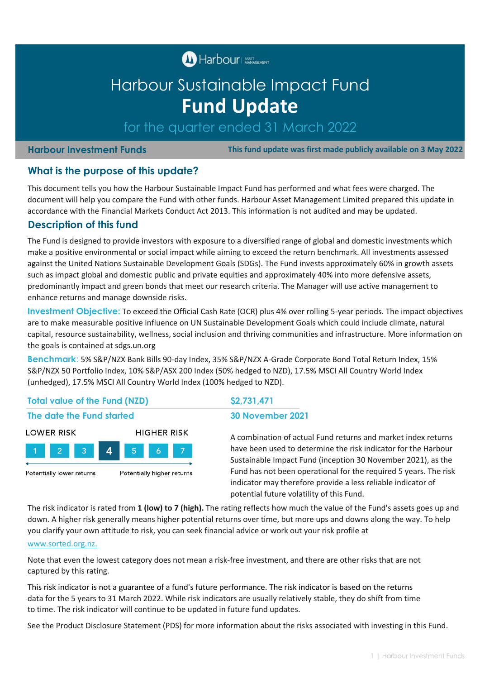**M** Harbour ASSET CEMENT

# Harbour Sustainable Impact Fund **Fund Update**

for the quarter ended 31 March 2022

#### **Harbour Investment Funds**

 **This fund update was first made publicly available on 3 May 2022**

### **What is the purpose of this update?**

This document tells you how the Harbour Sustainable Impact Fund has performed and what fees were charged. The document will help you compare the Fund with other funds. Harbour Asset Management Limited prepared this update in accordance with the Financial Markets Conduct Act 2013. This information is not audited and may be updated.

### **Description of this fund**

The Fund is designed to provide investors with exposure to a diversified range of global and domestic investments which make a positive environmental or social impact while aiming to exceed the return benchmark. All investments assessed against the United Nations Sustainable Development Goals (SDGs). The Fund invests approximately 60% in growth assets such as impact global and domestic public and private equities and approximately 40% into more defensive assets, predominantly impact and green bonds that meet our research criteria. The Manager will use active management to enhance returns and manage downside risks.

**Investment Objective:** To exceed the Official Cash Rate (OCR) plus 4% over rolling 5-year periods. The impact objectives are to make measurable positive influence on UN Sustainable Development Goals which could include climate, natural capital, resource sustainability, wellness, social inclusion and thriving communities and infrastructure. More information on the goals is contained at sdgs.un.org

**Benchmark**: 5% S&P/NZX Bank Bills 90-day Index, 35% S&P/NZX A-Grade Corporate Bond Total Return Index, 15% S&P/NZX 50 Portfolio Index, 10% S&P/ASX 200 Index (50% hedged to NZD), 17.5% MSCI All Country World Index (unhedged), 17.5% MSCI All Country World Index (100% hedged to NZD).

#### **Total value of the Fund (NZD) \$2,731,471**

# **The date the Fund started 30 November 2021**



A combination of actual Fund returns and market index returns have been used to determine the risk indicator for the Harbour Sustainable Impact Fund (inception 30 November 2021), as the Fund has not been operational for the required 5 years. The risk indicator may therefore provide a less reliable indicator of potential future volatility of this Fund.

The risk indicator is rated from **1 (low) to 7 (high).** The rating reflects how much the value of the Fund's assets goes up and down. A higher risk generally means higher potential returns over time, but more ups and downs along the way. To help you clarify your own attitude to risk, you can seek financial advice or work out your risk profile at

#### [www.sorted.org.nz.](http://www.sorted.org.nz/)

Note that even the lowest category does not mean a risk-free investment, and there are other risks that are not captured by this rating.

This risk indicator is not a guarantee of a fund's future performance. The risk indicator is based on the returns data for the 5 years to 31 March 2022. While risk indicators are usually relatively stable, they do shift from time to time. The risk indicator will continue to be updated in future fund updates.

See the Product Disclosure Statement (PDS) for more information about the risks associated with investing in this Fund.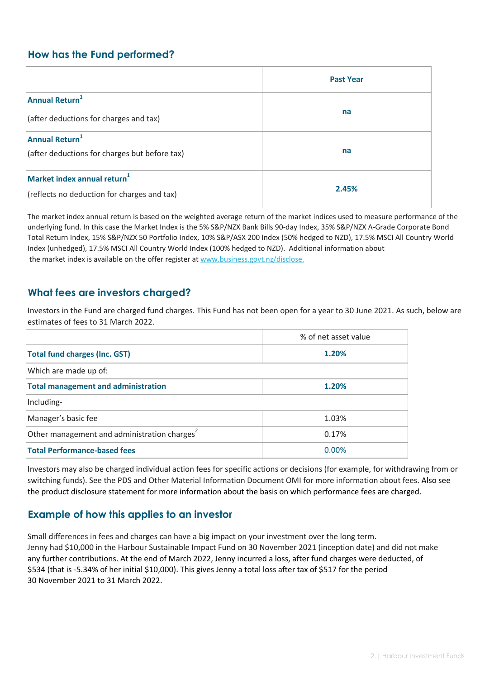# **How has the Fund performed?**

|                                                                               | <b>Past Year</b> |
|-------------------------------------------------------------------------------|------------------|
| Annual Return <sup>1</sup><br>(after deductions for charges and tax)          | na               |
| Annual Return <sup>1</sup><br>(after deductions for charges but before tax)   | na               |
| Market index annual return $1$<br>(reflects no deduction for charges and tax) | 2.45%            |

 [the market index is available on the offer register at www.business.govt.nz/disclose.](http://www.business.govt.nz/disclose) The market index annual return is based on the weighted average return of the market indices used to measure performance of the underlying fund. In this case the Market Index is the 5% S&P/NZX Bank Bills 90-day Index, 35% S&P/NZX A-Grade Corporate Bond Total Return Index, 15% S&P/NZX 50 Portfolio Index, 10% S&P/ASX 200 Index (50% hedged to NZD), 17.5% MSCI All Country World Index (unhedged), 17.5% MSCI All Country World Index (100% hedged to NZD). Additional information about

## **What fees are investors charged?**

Investors in the Fund are charged fund charges. This Fund has not been open for a year to 30 June 2021. As such, below are estimates of fees to 31 March 2022.

|                                                 | % of net asset value |  |  |  |
|-------------------------------------------------|----------------------|--|--|--|
| <b>Total fund charges (Inc. GST)</b>            | 1.20%                |  |  |  |
| Which are made up of:                           |                      |  |  |  |
| <b>Total management and administration</b>      | 1.20%                |  |  |  |
| Including-                                      |                      |  |  |  |
| Manager's basic fee                             | 1.03%                |  |  |  |
| Other management and administration charges $2$ | 0.17%                |  |  |  |
| <b>Total Performance-based fees</b>             | 0.00%                |  |  |  |

Investors may also be charged individual action fees for specific actions or decisions (for example, for withdrawing from or switching funds). See the PDS and Other Material Information Document OMI for more information about fees. Also see the product disclosure statement for more information about the basis on which performance fees are charged.

## **Example of how this applies to an investor**

Small differences in fees and charges can have a big impact on your investment over the long term. Jenny had \$10,000 in the Harbour Sustainable Impact Fund on 30 November 2021 (inception date) and did not make any further contributions. At the end of March 2022, Jenny incurred a loss, after fund charges were deducted, of \$534 (that is -5.34% of her initial \$10,000). This gives Jenny a total loss after tax of \$517 for the period 30 November 2021 to 31 March 2022.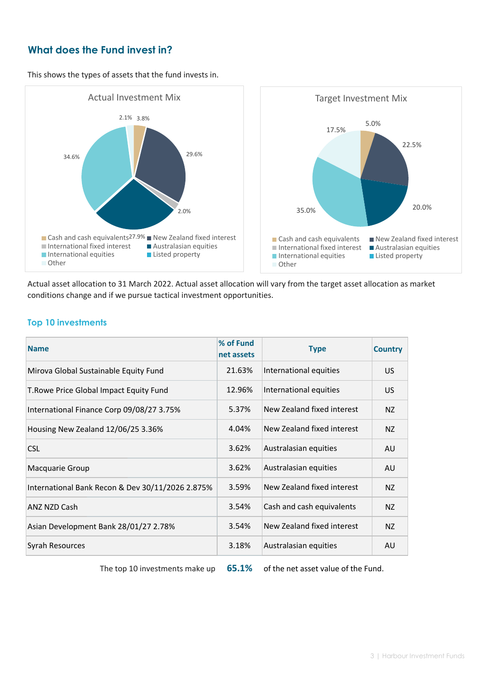# **What does the Fund invest in?**

This shows the types of assets that the fund invests in.



Actual asset allocation to 31 March 2022. Actual asset allocation will vary from the target asset allocation as market conditions change and if we pursue tactical investment opportunities.

#### **Top 10 investments**

| <b>Name</b>                                      | % of Fund<br>net assets | <b>Type</b>                | <b>Country</b> |
|--------------------------------------------------|-------------------------|----------------------------|----------------|
| Mirova Global Sustainable Equity Fund            | 21.63%                  | International equities     | US.            |
| T. Rowe Price Global Impact Equity Fund          | 12.96%                  | International equities     | US.            |
| International Finance Corp 09/08/27 3.75%        | 5.37%                   | New Zealand fixed interest | NZ             |
| Housing New Zealand 12/06/25 3.36%               | 4.04%                   | New Zealand fixed interest | NZ             |
| <b>CSL</b>                                       | 3.62%                   | Australasian equities      | AU             |
| Macquarie Group                                  | 3.62%                   | Australasian equities      | AU             |
| International Bank Recon & Dev 30/11/2026 2.875% | 3.59%                   | New Zealand fixed interest | NZ             |
| <b>ANZ NZD Cash</b>                              | 3.54%                   | Cash and cash equivalents  | NZ             |
| Asian Development Bank 28/01/27 2.78%            | 3.54%                   | New Zealand fixed interest | NZ.            |
| <b>Syrah Resources</b>                           | 3.18%                   | Australasian equities      | AU             |

The top 10 investments make up **65.1%** of the net asset value of the Fund.